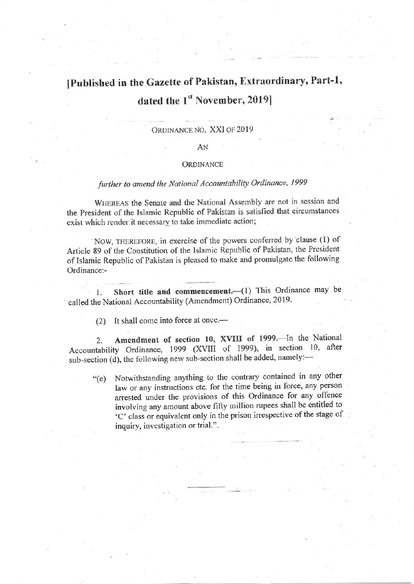# IPubtished in the Gazette of Pakistan, Extraordinary, Part-1, dated the 1<sup>st</sup> November, 2019]

### ORDINANCE NO. XXI OF 2019

#### AN

### **ORDINANCE**

## further to amend the National Accountability Ordinance, 1999

WHEREAS the Senate and the National Assembly are not in session and the President of the Islamic Republic of Pakistan is satisfied that circumstances exist which render it necessary to take immediate action;

NOW, THEREFORE, in exercise of the powers conferred by clause (1) of Articie 89 of the Constitution of the Islamic Republic of Pakistan, the President of Islairic Republic of Pakistan is pleased to make and promulgate the following Ordinance:-

1. Short title and commencement. (1) This Ordinance may be called the National Accountability (Amendment) Ordinance, 2019.

(2) It shall come into force at once.—

2. Amendment of section 10, XVIII of 1999. In the National Accountability Ordinance, 1999 (XVIII of 1999), in section 10, after sub-section (d), the following new sub-section shall be added, namely:-

Notwithstanding anything to the contrary contained in any other law or any instructions etc. for the time being in force, any person arrested under the provisions of this Ordinance for any offence involving any amount above fifty million rupees shall be entitled to 'C' class or equivalent only in the prison irrespective of the stage of inquiry, investigation or trial.".  $C$ <sup>(e)</sup>